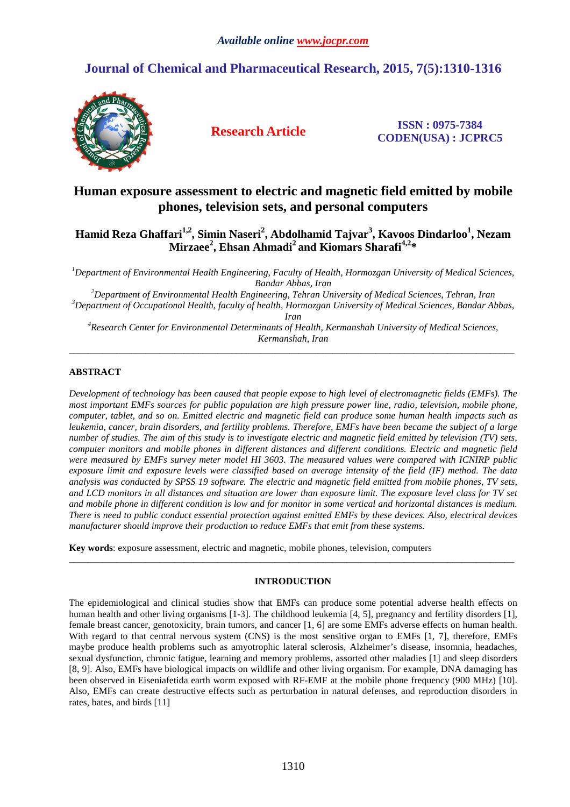# **Journal of Chemical and Pharmaceutical Research, 2015, 7(5):1310-1316**



**Research Article ISSN : 0975-7384 CODEN(USA) : JCPRC5**

## **Human exposure assessment to electric and magnetic field emitted by mobile phones, television sets, and personal computers**

## **Hamid Reza Ghaffari1,2, Simin Naseri<sup>2</sup> , Abdolhamid Tajvar<sup>3</sup> , Kavoos Dindarloo<sup>1</sup> , Nezam Mirzaee<sup>2</sup> , Ehsan Ahmadi<sup>2</sup>and Kiomars Sharafi4,2\***

*<sup>1</sup>Department of Environmental Health Engineering, Faculty of Health, Hormozgan University of Medical Sciences, Bandar Abbas, Iran* 

*<sup>2</sup>Department of Environmental Health Engineering, Tehran University of Medical Sciences, Tehran, Iran <sup>3</sup>Department of Occupational Health, faculty of health, Hormozgan University of Medical Sciences, Bandar Abbas, Iran* 

*<sup>4</sup>Research Center for Environmental Determinants of Health, Kermanshah University of Medical Sciences, Kermanshah, Iran*  \_\_\_\_\_\_\_\_\_\_\_\_\_\_\_\_\_\_\_\_\_\_\_\_\_\_\_\_\_\_\_\_\_\_\_\_\_\_\_\_\_\_\_\_\_\_\_\_\_\_\_\_\_\_\_\_\_\_\_\_\_\_\_\_\_\_\_\_\_\_\_\_\_\_\_\_\_\_\_\_\_\_\_\_\_\_\_\_\_\_\_\_\_

## **ABSTRACT**

*Development of technology has been caused that people expose to high level of electromagnetic fields (EMFs). The most important EMFs sources for public population are high pressure power line, radio, television, mobile phone, computer, tablet, and so on. Emitted electric and magnetic field can produce some human health impacts such as leukemia, cancer, brain disorders, and fertility problems. Therefore, EMFs have been became the subject of a large number of studies. The aim of this study is to investigate electric and magnetic field emitted by television (TV) sets, computer monitors and mobile phones in different distances and different conditions. Electric and magnetic field were measured by EMFs survey meter model HI 3603. The measured values were compared with ICNIRP public exposure limit and exposure levels were classified based on average intensity of the field (IF) method. The data analysis was conducted by SPSS 19 software. The electric and magnetic field emitted from mobile phones, TV sets, and LCD monitors in all distances and situation are lower than exposure limit. The exposure level class for TV set and mobile phone in different condition is low and for monitor in some vertical and horizontal distances is medium. There is need to public conduct essential protection against emitted EMFs by these devices. Also, electrical devices manufacturer should improve their production to reduce EMFs that emit from these systems.* 

**Key words**: exposure assessment, electric and magnetic, mobile phones, television, computers

## **INTRODUCTION**

 $\overline{a}$  , and the contribution of the contribution of the contribution of the contribution of the contribution of the contribution of the contribution of the contribution of the contribution of the contribution of the co

The epidemiological and clinical studies show that EMFs can produce some potential adverse health effects on human health and other living organisms [1-3]. The childhood leukemia [4, 5], pregnancy and fertility disorders [1], female breast cancer, genotoxicity, brain tumors, and cancer [1, 6] are some EMFs adverse effects on human health. With regard to that central nervous system (CNS) is the most sensitive organ to EMFs [1, 7], therefore, EMFs maybe produce health problems such as amyotrophic lateral sclerosis, Alzheimer's disease, insomnia, headaches, sexual dysfunction, chronic fatigue, learning and memory problems, assorted other maladies [1] and sleep disorders [8, 9]. Also, EMFs have biological impacts on wildlife and other living organism. For example, DNA damaging has been observed in Eiseniafetida earth worm exposed with RF-EMF at the mobile phone frequency (900 MHz) [10]. Also, EMFs can create destructive effects such as perturbation in natural defenses, and reproduction disorders in rates, bates, and birds [11]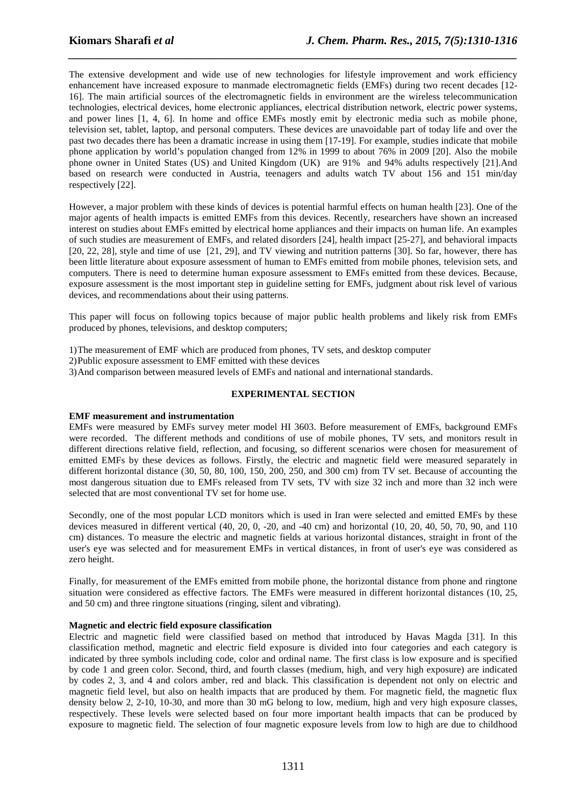The extensive development and wide use of new technologies for lifestyle improvement and work efficiency enhancement have increased exposure to manmade electromagnetic fields (EMFs) during two recent decades [12- 16]. The main artificial sources of the electromagnetic fields in environment are the wireless telecommunication technologies, electrical devices, home electronic appliances, electrical distribution network, electric power systems, and power lines [1, 4, 6]. In home and office EMFs mostly emit by electronic media such as mobile phone, television set, tablet, laptop, and personal computers. These devices are unavoidable part of today life and over the past two decades there has been a dramatic increase in using them [17-19]. For example, studies indicate that mobile phone application by world's population changed from 12% in 1999 to about 76% in 2009 [20]. Also the mobile phone owner in United States (US) and United Kingdom (UK) are 91% and 94% adults respectively [21].And based on research were conducted in Austria, teenagers and adults watch TV about 156 and 151 min/day respectively [22].

*\_\_\_\_\_\_\_\_\_\_\_\_\_\_\_\_\_\_\_\_\_\_\_\_\_\_\_\_\_\_\_\_\_\_\_\_\_\_\_\_\_\_\_\_\_\_\_\_\_\_\_\_\_\_\_\_\_\_\_\_\_\_\_\_\_\_\_\_\_\_\_\_\_\_\_\_\_\_*

However, a major problem with these kinds of devices is potential harmful effects on human health [23]. One of the major agents of health impacts is emitted EMFs from this devices. Recently, researchers have shown an increased interest on studies about EMFs emitted by electrical home appliances and their impacts on human life. An examples of such studies are measurement of EMFs, and related disorders [24], health impact [25-27], and behavioral impacts [20, 22, 28], style and time of use [21, 29], and TV viewing and nutrition patterns [30]. So far, however, there has been little literature about exposure assessment of human to EMFs emitted from mobile phones, television sets, and computers. There is need to determine human exposure assessment to EMFs emitted from these devices. Because, exposure assessment is the most important step in guideline setting for EMFs, judgment about risk level of various devices, and recommendations about their using patterns.

This paper will focus on following topics because of major public health problems and likely risk from EMFs produced by phones, televisions, and desktop computers;

- 1)The measurement of EMF which are produced from phones, TV sets, and desktop computer
- 2)Public exposure assessment to EMF emitted with these devices
- 3)And comparison between measured levels of EMFs and national and international standards.

### **EXPERIMENTAL SECTION**

#### **EMF measurement and instrumentation**

EMFs were measured by EMFs survey meter model HI 3603. Before measurement of EMFs, background EMFs were recorded. The different methods and conditions of use of mobile phones, TV sets, and monitors result in different directions relative field, reflection, and focusing, so different scenarios were chosen for measurement of emitted EMFs by these devices as follows. Firstly, the electric and magnetic field were measured separately in different horizontal distance (30, 50, 80, 100, 150, 200, 250, and 300 cm) from TV set. Because of accounting the most dangerous situation due to EMFs released from TV sets, TV with size 32 inch and more than 32 inch were selected that are most conventional TV set for home use.

Secondly, one of the most popular LCD monitors which is used in Iran were selected and emitted EMFs by these devices measured in different vertical (40, 20, 0, -20, and -40 cm) and horizontal (10, 20, 40, 50, 70, 90, and 110 cm) distances. To measure the electric and magnetic fields at various horizontal distances, straight in front of the user's eye was selected and for measurement EMFs in vertical distances, in front of user's eye was considered as zero height.

Finally, for measurement of the EMFs emitted from mobile phone, the horizontal distance from phone and ringtone situation were considered as effective factors. The EMFs were measured in different horizontal distances (10, 25, and 50 cm) and three ringtone situations (ringing, silent and vibrating).

#### **Magnetic and electric field exposure classification**

Electric and magnetic field were classified based on method that introduced by Havas Magda [31]. In this classification method, magnetic and electric field exposure is divided into four categories and each category is indicated by three symbols including code, color and ordinal name. The first class is low exposure and is specified by code 1 and green color. Second, third, and fourth classes (medium, high, and very high exposure) are indicated by codes 2, 3, and 4 and colors amber, red and black. This classification is dependent not only on electric and magnetic field level, but also on health impacts that are produced by them. For magnetic field, the magnetic flux density below 2, 2-10, 10-30, and more than 30 mG belong to low, medium, high and very high exposure classes, respectively. These levels were selected based on four more important health impacts that can be produced by exposure to magnetic field. The selection of four magnetic exposure levels from low to high are due to childhood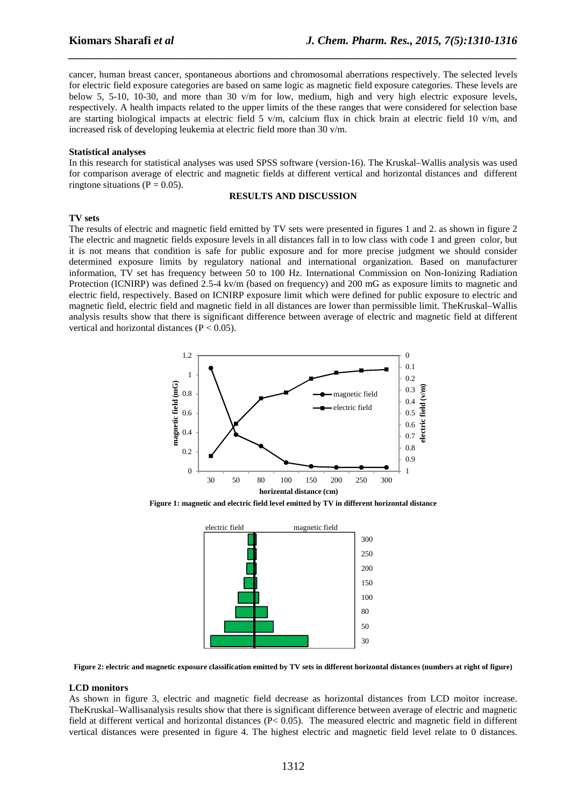cancer, human breast cancer, spontaneous abortions and chromosomal aberrations respectively. The selected levels for electric field exposure categories are based on same logic as magnetic field exposure categories. These levels are below 5, 5-10, 10-30, and more than 30 v/m for low, medium, high and very high electric exposure levels, respectively. A health impacts related to the upper limits of the these ranges that were considered for selection base are starting biological impacts at electric field 5 v/m, calcium flux in chick brain at electric field 10 v/m, and increased risk of developing leukemia at electric field more than 30 v/m.

*\_\_\_\_\_\_\_\_\_\_\_\_\_\_\_\_\_\_\_\_\_\_\_\_\_\_\_\_\_\_\_\_\_\_\_\_\_\_\_\_\_\_\_\_\_\_\_\_\_\_\_\_\_\_\_\_\_\_\_\_\_\_\_\_\_\_\_\_\_\_\_\_\_\_\_\_\_\_*

#### **Statistical analyses**

In this research for statistical analyses was used SPSS software (version-16). The Kruskal–Wallis analysis was used for comparison average of electric and magnetic fields at different vertical and horizontal distances and different ringtone situations ( $P = 0.05$ ).

#### **RESULTS AND DISCUSSION**

#### **TV sets**

The results of electric and magnetic field emitted by TV sets were presented in figures 1 and 2. as shown in figure 2 The electric and magnetic fields exposure levels in all distances fall in to low class with code 1 and green color, but it is not means that condition is safe for public exposure and for more precise judgment we should consider determined exposure limits by regulatory national and international organization. Based on manufacturer information, TV set has frequency between 50 to 100 Hz. International Commission on Non-Ionizing Radiation Protection (ICNIRP) was defined 2.5-4 kv/m (based on frequency) and 200 mG as exposure limits to magnetic and electric field, respectively. Based on ICNIRP exposure limit which were defined for public exposure to electric and magnetic field, electric field and magnetic field in all distances are lower than permissible limit. TheKruskal–Wallis analysis results show that there is significant difference between average of electric and magnetic field at different vertical and horizontal distances ( $P < 0.05$ ).



**Figure 1: magnetic and electric field level emitted by TV in different horizontal distance** 



**Figure 2: electric and magnetic exposure classification emitted by TV sets in different horizontal distances (numbers at right of figure)** 

#### **LCD monitors**

As shown in figure 3, electric and magnetic field decrease as horizontal distances from LCD moitor increase. TheKruskal–Wallisanalysis results show that there is significant difference between average of electric and magnetic field at different vertical and horizontal distances (P< 0.05). The measured electric and magnetic field in different vertical distances were presented in figure 4. The highest electric and magnetic field level relate to 0 distances.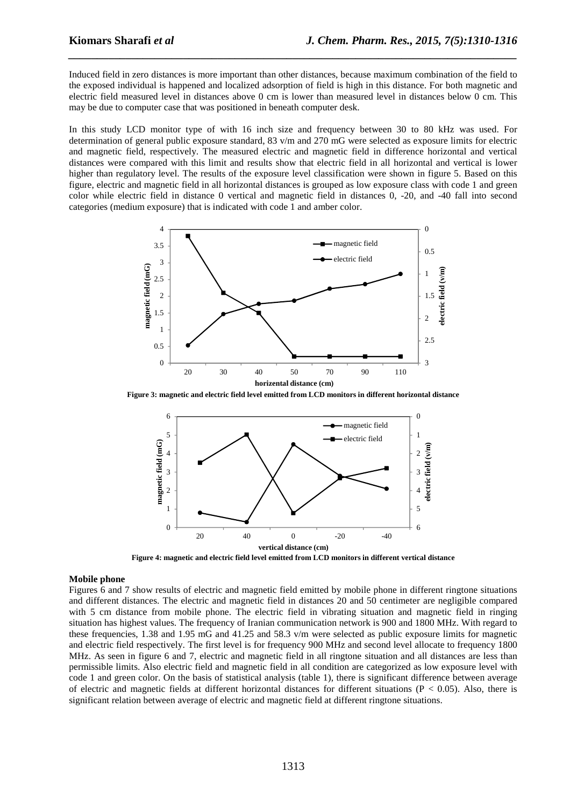Induced field in zero distances is more important than other distances, because maximum combination of the field to the exposed individual is happened and localized adsorption of field is high in this distance. For both magnetic and electric field measured level in distances above 0 cm is lower than measured level in distances below 0 cm. This may be due to computer case that was positioned in beneath computer desk.

*\_\_\_\_\_\_\_\_\_\_\_\_\_\_\_\_\_\_\_\_\_\_\_\_\_\_\_\_\_\_\_\_\_\_\_\_\_\_\_\_\_\_\_\_\_\_\_\_\_\_\_\_\_\_\_\_\_\_\_\_\_\_\_\_\_\_\_\_\_\_\_\_\_\_\_\_\_\_*

In this study LCD monitor type of with 16 inch size and frequency between 30 to 80 kHz was used. For determination of general public exposure standard, 83 v/m and 270 mG were selected as exposure limits for electric and magnetic field, respectively. The measured electric and magnetic field in difference horizontal and vertical distances were compared with this limit and results show that electric field in all horizontal and vertical is lower higher than regulatory level. The results of the exposure level classification were shown in figure 5. Based on this figure, electric and magnetic field in all horizontal distances is grouped as low exposure class with code 1 and green color while electric field in distance 0 vertical and magnetic field in distances 0, -20, and -40 fall into second categories (medium exposure) that is indicated with code 1 and amber color.



**Figure 3: magnetic and electric field level emitted from LCD monitors in different horizontal distance**



**Figure 4: magnetic and electric field level emitted from LCD monitors in different vertical distance** 

#### **Mobile phone**

Figures 6 and 7 show results of electric and magnetic field emitted by mobile phone in different ringtone situations and different distances. The electric and magnetic field in distances 20 and 50 centimeter are negligible compared with 5 cm distance from mobile phone. The electric field in vibrating situation and magnetic field in ringing situation has highest values. The frequency of Iranian communication network is 900 and 1800 MHz. With regard to these frequencies, 1.38 and 1.95 mG and 41.25 and 58.3 v/m were selected as public exposure limits for magnetic and electric field respectively. The first level is for frequency 900 MHz and second level allocate to frequency 1800 MHz. As seen in figure 6 and 7, electric and magnetic field in all ringtone situation and all distances are less than permissible limits. Also electric field and magnetic field in all condition are categorized as low exposure level with code 1 and green color. On the basis of statistical analysis (table 1), there is significant difference between average of electric and magnetic fields at different horizontal distances for different situations ( $P < 0.05$ ). Also, there is significant relation between average of electric and magnetic field at different ringtone situations.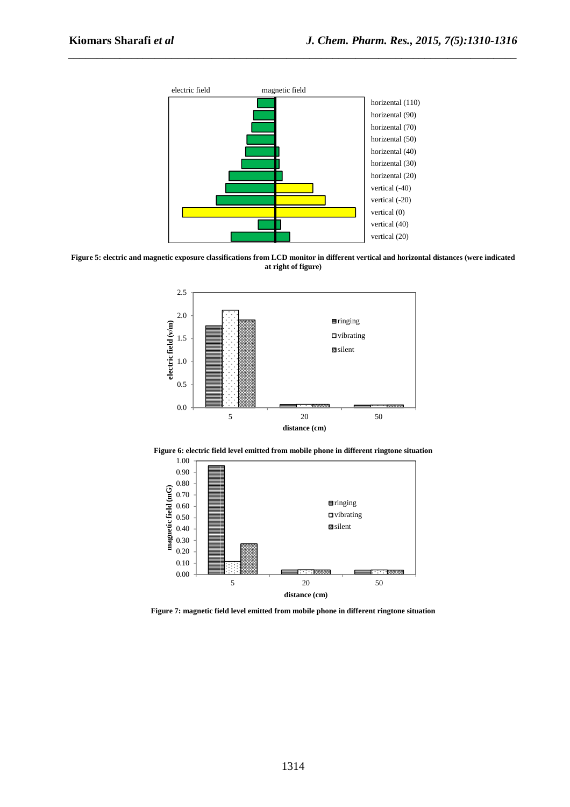

*\_\_\_\_\_\_\_\_\_\_\_\_\_\_\_\_\_\_\_\_\_\_\_\_\_\_\_\_\_\_\_\_\_\_\_\_\_\_\_\_\_\_\_\_\_\_\_\_\_\_\_\_\_\_\_\_\_\_\_\_\_\_\_\_\_\_\_\_\_\_\_\_\_\_\_\_\_\_*

**Figure 5: electric and magnetic exposure classifications from LCD monitor in different vertical and horizontal distances (were indicated at right of figure)** 





**Figure 6: electric field level emitted from mobile phone in different ringtone situation** 

**Figure 7: magnetic field level emitted from mobile phone in different ringtone situation**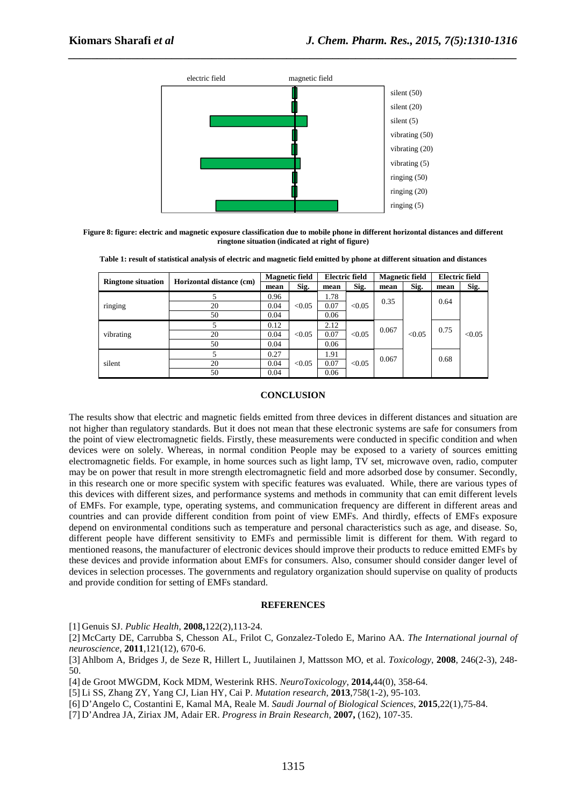

*\_\_\_\_\_\_\_\_\_\_\_\_\_\_\_\_\_\_\_\_\_\_\_\_\_\_\_\_\_\_\_\_\_\_\_\_\_\_\_\_\_\_\_\_\_\_\_\_\_\_\_\_\_\_\_\_\_\_\_\_\_\_\_\_\_\_\_\_\_\_\_\_\_\_\_\_\_\_*

**Figure 8: figure: electric and magnetic exposure classification due to mobile phone in different horizontal distances and different ringtone situation (indicated at right of figure)** 

|  | Table 1: result of statistical analysis of electric and magnetic field emitted by phone at different situation and distances |  |  |  |
|--|------------------------------------------------------------------------------------------------------------------------------|--|--|--|
|--|------------------------------------------------------------------------------------------------------------------------------|--|--|--|

| <b>Ringtone situation</b> | Horizontal distance (cm) | <b>Magnetic field</b>  |        | <b>Electric field</b> |        | <b>Magnetic field</b> |        | <b>Electric field</b> |        |
|---------------------------|--------------------------|------------------------|--------|-----------------------|--------|-----------------------|--------|-----------------------|--------|
|                           |                          | mean                   | Sig.   | mean                  | Sig.   | mean                  | Sig.   | mean                  | Sig.   |
| ringing                   |                          | 0.96                   |        | 1.78                  |        |                       |        |                       |        |
|                           | 20                       | 0.04<br>< 0.05         |        | 0.07                  | < 0.05 | 0.35                  |        | 0.64                  |        |
|                           | 50                       | 0.04                   |        | 0.06                  |        |                       |        |                       |        |
| vibrating                 |                          | 0.12                   |        | 2.12                  |        | 0.067                 |        | 0.75                  |        |
|                           | 20                       | 0.04<br>< 0.05<br>0.04 |        | 0.07                  | < 0.05 |                       | < 0.05 |                       | < 0.05 |
|                           | 50                       |                        |        | 0.06                  |        |                       |        |                       |        |
| silent                    |                          | 0.27                   | < 0.05 | 1.91                  | < 0.05 | 0.067                 |        | 0.68                  |        |
|                           | 20                       | 0.04                   |        | 0.07                  |        |                       |        |                       |        |
|                           | 50                       | 0.04                   |        | 0.06                  |        |                       |        |                       |        |

## **CONCLUSION**

The results show that electric and magnetic fields emitted from three devices in different distances and situation are not higher than regulatory standards. But it does not mean that these electronic systems are safe for consumers from the point of view electromagnetic fields. Firstly, these measurements were conducted in specific condition and when devices were on solely. Whereas, in normal condition People may be exposed to a variety of sources emitting electromagnetic fields. For example, in home sources such as light lamp, TV set, microwave oven, radio, computer may be on power that result in more strength electromagnetic field and more adsorbed dose by consumer. Secondly, in this research one or more specific system with specific features was evaluated. While, there are various types of this devices with different sizes, and performance systems and methods in community that can emit different levels of EMFs. For example, type, operating systems, and communication frequency are different in different areas and countries and can provide different condition from point of view EMFs. And thirdly, effects of EMFs exposure depend on environmental conditions such as temperature and personal characteristics such as age, and disease. So, different people have different sensitivity to EMFs and permissible limit is different for them. With regard to mentioned reasons, the manufacturer of electronic devices should improve their products to reduce emitted EMFs by these devices and provide information about EMFs for consumers. Also, consumer should consider danger level of devices in selection processes. The governments and regulatory organization should supervise on quality of products and provide condition for setting of EMFs standard.

## **REFERENCES**

[1] Genuis SJ. *Public Health*, **2008,**122(2),113-24.

[2] McCarty DE, Carrubba S, Chesson AL, Frilot C, Gonzalez-Toledo E, Marino AA. *The International journal of neuroscience*, **2011**,121(12), 670-6.

[3] Ahlbom A, Bridges J, de Seze R, Hillert L, Juutilainen J, Mattsson MO, et al. *Toxicology*, **2008**, 246(2-3), 248- 50.

[4] de Groot MWGDM, Kock MDM, Westerink RHS. *NeuroToxicology*, **2014,**44(0), 358-64.

[5] Li SS, Zhang ZY, Yang CJ, Lian HY, Cai P. *Mutation research*, **2013**,758(1-2), 95-103.

[6] D'Angelo C, Costantini E, Kamal MA, Reale M. *Saudi Journal of Biological Sciences*, **2015**,22(1),75-84.

[7] D'Andrea JA, Ziriax JM, Adair ER. *Progress in Brain Research*, **2007,** (162), 107-35.